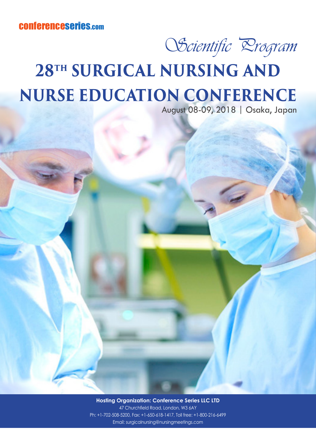## OScientific *Drogram*

## **28TH SURGICAL NURSING AND NURSE EDUCATION CONFERENCE**

August 08-09, 2018 | Osaka, Japan

**Hosting Organization: Conference Series LLC LTD** 47 Churchfield Road, London, W3 6AY Ph: +1-702-508-5200, Fax: +1-650-618-1417, Toll free: +1-800-216-6499 Email: surgicalnursing@nursingmeetings.com